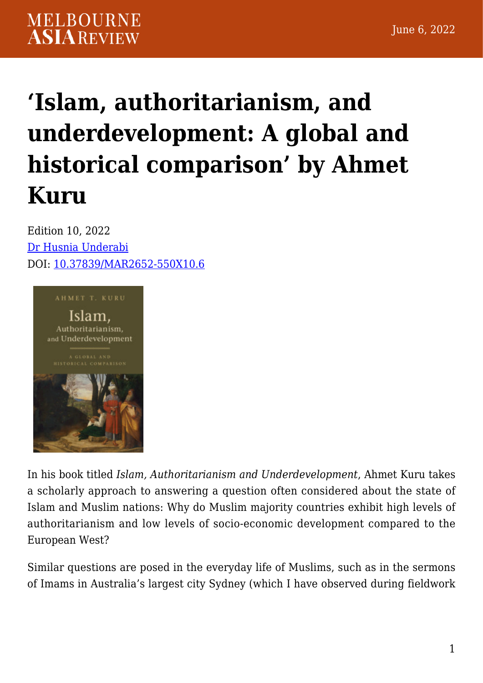## **['Islam, authoritarianism, and](https://melbourneasiareview.edu.au/islam-authoritarianism-and-underdevelopment-a-global-and-historical-comparison-by-ahmed-kuru/) [underdevelopment: A global and](https://melbourneasiareview.edu.au/islam-authoritarianism-and-underdevelopment-a-global-and-historical-comparison-by-ahmed-kuru/) [historical comparison' by Ahmet](https://melbourneasiareview.edu.au/islam-authoritarianism-and-underdevelopment-a-global-and-historical-comparison-by-ahmed-kuru/) [Kuru](https://melbourneasiareview.edu.au/islam-authoritarianism-and-underdevelopment-a-global-and-historical-comparison-by-ahmed-kuru/)**

Edition 10, 2022 [Dr Husnia Underabi](https://www.westernsydney.edu.au/challengingracism/challenging_racism_project/our_people) DOI: 10.37839/MAR2652-550X10.6



In his book titled *Islam, Authoritarianism and Underdevelopment*, Ahmet Kuru takes a scholarly approach to answering a question often considered about the state of Islam and Muslim nations: Why do Muslim majority countries exhibit high levels of authoritarianism and low levels of socio-economic development compared to the European West?

Similar questions are posed in the everyday life of Muslims, such as in the sermons of Imams in Australia's largest city Sydney (which I have observed during fieldwork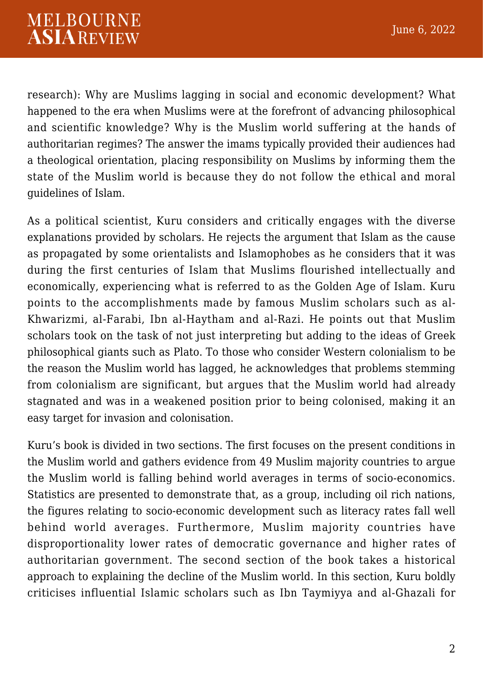research): Why are Muslims lagging in social and economic development? What happened to the era when Muslims were at the forefront of advancing philosophical and scientific knowledge? Why is the Muslim world suffering at the hands of authoritarian regimes? The answer the imams typically provided their audiences had a theological orientation, placing responsibility on Muslims by informing them the state of the Muslim world is because they do not follow the ethical and moral guidelines of Islam.

As a political scientist, Kuru considers and critically engages with the diverse explanations provided by scholars. He rejects the argument that Islam as the cause as propagated by some orientalists and Islamophobes as he considers that it was during the first centuries of Islam that Muslims flourished intellectually and economically, experiencing what is referred to as the Golden Age of Islam. Kuru points to the accomplishments made by famous Muslim scholars such as al-Khwarizmi, al-Farabi, Ibn al-Haytham and al-Razi. He points out that Muslim scholars took on the task of not just interpreting but adding to the ideas of Greek philosophical giants such as Plato. To those who consider Western colonialism to be the reason the Muslim world has lagged, he acknowledges that problems stemming from colonialism are significant, but argues that the Muslim world had already stagnated and was in a weakened position prior to being colonised, making it an easy target for invasion and colonisation.

Kuru's book is divided in two sections. The first focuses on the present conditions in the Muslim world and gathers evidence from 49 Muslim majority countries to argue the Muslim world is falling behind world averages in terms of socio-economics. Statistics are presented to demonstrate that, as a group, including oil rich nations, the figures relating to socio-economic development such as literacy rates fall well behind world averages. Furthermore, Muslim majority countries have disproportionality lower rates of democratic governance and higher rates of authoritarian government. The second section of the book takes a historical approach to explaining the decline of the Muslim world. In this section, Kuru boldly criticises influential Islamic scholars such as Ibn Taymiyya and al-Ghazali for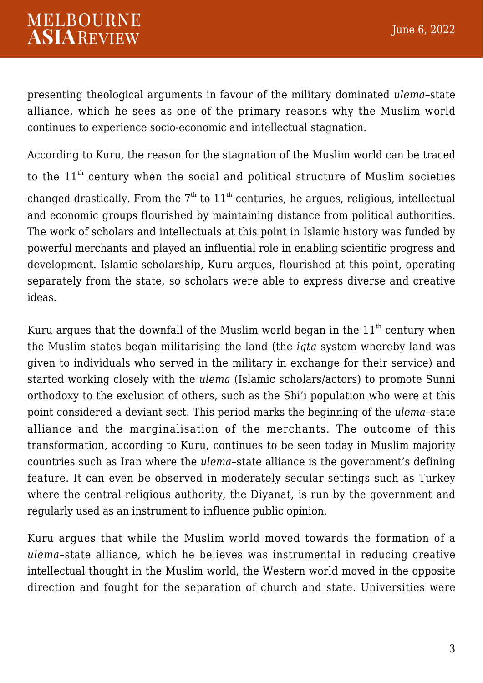presenting theological arguments in favour of the military dominated *ulema*–state alliance, which he sees as one of the primary reasons why the Muslim world continues to experience socio-economic and intellectual stagnation.

According to Kuru, the reason for the stagnation of the Muslim world can be traced to the  $11<sup>th</sup>$  century when the social and political structure of Muslim societies changed drastically. From the  $7<sup>th</sup>$  to  $11<sup>th</sup>$  centuries, he argues, religious, intellectual and economic groups flourished by maintaining distance from political authorities. The work of scholars and intellectuals at this point in Islamic history was funded by powerful merchants and played an influential role in enabling scientific progress and development. Islamic scholarship, Kuru argues, flourished at this point, operating separately from the state, so scholars were able to express diverse and creative ideas.

Kuru argues that the downfall of the Muslim world began in the  $11<sup>th</sup>$  century when the Muslim states began militarising the land (the *iqta* system whereby land was given to individuals who served in the military in exchange for their service) and started working closely with the *ulema* (Islamic scholars/actors) to promote Sunni orthodoxy to the exclusion of others, such as the Shi'i population who were at this point considered a deviant sect. This period marks the beginning of the *ulema*–state alliance and the marginalisation of the merchants. The outcome of this transformation, according to Kuru, continues to be seen today in Muslim majority countries such as Iran where the *ulema*–state alliance is the government's defining feature. It can even be observed in moderately secular settings such as Turkey where the central religious authority, the Diyanat, is run by the government and regularly used as an instrument to influence public opinion.

Kuru argues that while the Muslim world moved towards the formation of a *ulema*–state alliance, which he believes was instrumental in reducing creative intellectual thought in the Muslim world, the Western world moved in the opposite direction and fought for the separation of church and state. Universities were